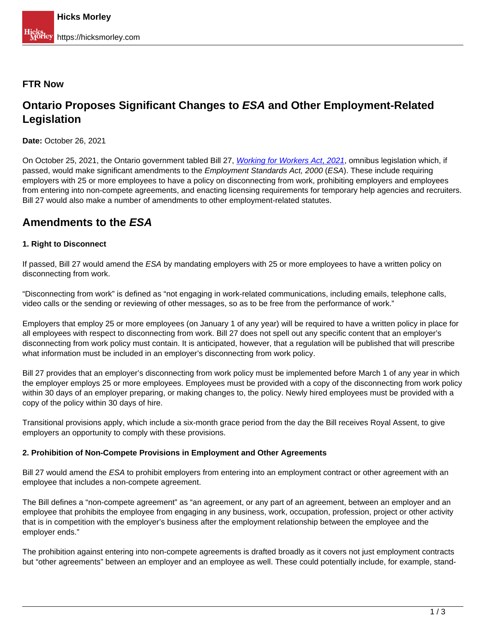### **FTR Now**

# **Ontario Proposes Significant Changes to ESA and Other Employment-Related Legislation**

**Date:** October 26, 2021

On October 25[,](https://www.ola.org/en/legislative-business/bills/parliament-42/session-2/bill-27) [2021](https://www.ola.org/en/legislative-business/bills/parliament-42/session-2/bill-27), the Ontario government tabled Bill 27, *[Working for Workers Act](https://www.ola.org/en/legislative-business/bills/parliament-42/session-2/bill-27), 2021*, omnibus legislation which, if passed, would make significant amendments to the Employment Standards Act, 2000 (ESA). These include requiring employers with 25 or more employees to have a policy on disconnecting from work, prohibiting employers and employees from entering into non-compete agreements, and enacting licensing requirements for temporary help agencies and recruiters. Bill 27 would also make a number of amendments to other employment-related statutes.

## **Amendments to the ESA**

#### **1. Right to Disconnect**

If passed, Bill 27 would amend the ESA by mandating employers with 25 or more employees to have a written policy on disconnecting from work.

"Disconnecting from work" is defined as "not engaging in work-related communications, including emails, telephone calls, video calls or the sending or reviewing of other messages, so as to be free from the performance of work."

Employers that employ 25 or more employees (on January 1 of any year) will be required to have a written policy in place for all employees with respect to disconnecting from work. Bill 27 does not spell out any specific content that an employer's disconnecting from work policy must contain. It is anticipated, however, that a regulation will be published that will prescribe what information must be included in an employer's disconnecting from work policy.

Bill 27 provides that an employer's disconnecting from work policy must be implemented before March 1 of any year in which the employer employs 25 or more employees. Employees must be provided with a copy of the disconnecting from work policy within 30 days of an employer preparing, or making changes to, the policy. Newly hired employees must be provided with a copy of the policy within 30 days of hire.

Transitional provisions apply, which include a six-month grace period from the day the Bill receives Royal Assent, to give employers an opportunity to comply with these provisions.

#### **2. Prohibition of Non-Compete Provisions in Employment and Other Agreements**

Bill 27 would amend the ESA to prohibit employers from entering into an employment contract or other agreement with an employee that includes a non-compete agreement.

The Bill defines a "non-compete agreement" as "an agreement, or any part of an agreement, between an employer and an employee that prohibits the employee from engaging in any business, work, occupation, profession, project or other activity that is in competition with the employer's business after the employment relationship between the employee and the employer ends."

The prohibition against entering into non-compete agreements is drafted broadly as it covers not just employment contracts but "other agreements" between an employer and an employee as well. These could potentially include, for example, stand-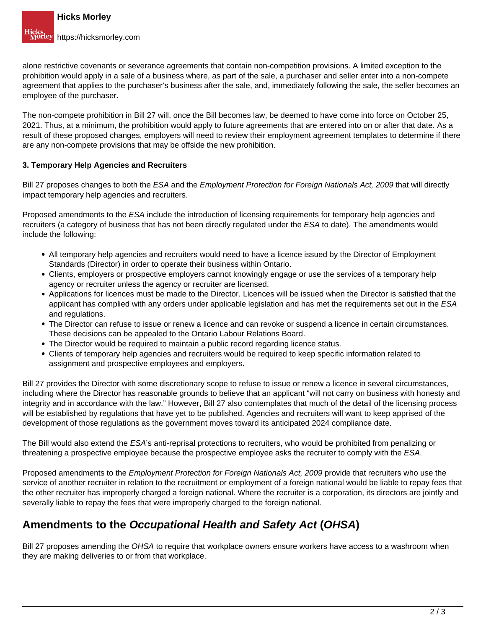alone restrictive covenants or severance agreements that contain non-competition provisions. A limited exception to the prohibition would apply in a sale of a business where, as part of the sale, a purchaser and seller enter into a non-compete agreement that applies to the purchaser's business after the sale, and, immediately following the sale, the seller becomes an employee of the purchaser.

The non-compete prohibition in Bill 27 will, once the Bill becomes law, be deemed to have come into force on October 25, 2021. Thus, at a minimum, the prohibition would apply to future agreements that are entered into on or after that date. As a result of these proposed changes, employers will need to review their employment agreement templates to determine if there are any non-compete provisions that may be offside the new prohibition.

#### **3. Temporary Help Agencies and Recruiters**

Bill 27 proposes changes to both the ESA and the Employment Protection for Foreign Nationals Act, 2009 that will directly impact temporary help agencies and recruiters.

Proposed amendments to the ESA include the introduction of licensing requirements for temporary help agencies and recruiters (a category of business that has not been directly regulated under the ESA to date). The amendments would include the following:

- All temporary help agencies and recruiters would need to have a licence issued by the Director of Employment Standards (Director) in order to operate their business within Ontario.
- Clients, employers or prospective employers cannot knowingly engage or use the services of a temporary help agency or recruiter unless the agency or recruiter are licensed.
- Applications for licences must be made to the Director. Licences will be issued when the Director is satisfied that the applicant has complied with any orders under applicable legislation and has met the requirements set out in the ESA and regulations.
- The Director can refuse to issue or renew a licence and can revoke or suspend a licence in certain circumstances. These decisions can be appealed to the Ontario Labour Relations Board.
- The Director would be required to maintain a public record regarding licence status.
- Clients of temporary help agencies and recruiters would be required to keep specific information related to assignment and prospective employees and employers.

Bill 27 provides the Director with some discretionary scope to refuse to issue or renew a licence in several circumstances, including where the Director has reasonable grounds to believe that an applicant "will not carry on business with honesty and integrity and in accordance with the law." However, Bill 27 also contemplates that much of the detail of the licensing process will be established by regulations that have yet to be published. Agencies and recruiters will want to keep apprised of the development of those regulations as the government moves toward its anticipated 2024 compliance date.

The Bill would also extend the ESA's anti-reprisal protections to recruiters, who would be prohibited from penalizing or threatening a prospective employee because the prospective employee asks the recruiter to comply with the ESA.

Proposed amendments to the *Employment Protection for Foreign Nationals Act, 2009* provide that recruiters who use the service of another recruiter in relation to the recruitment or employment of a foreign national would be liable to repay fees that the other recruiter has improperly charged a foreign national. Where the recruiter is a corporation, its directors are jointly and severally liable to repay the fees that were improperly charged to the foreign national.

## **Amendments to the Occupational Health and Safety Act (OHSA)**

Bill 27 proposes amending the OHSA to require that workplace owners ensure workers have access to a washroom when they are making deliveries to or from that workplace.